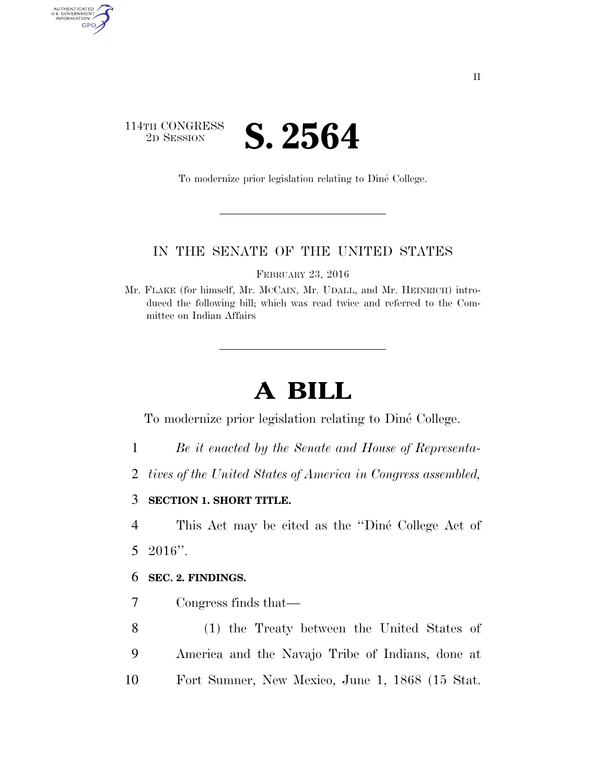# 114TH CONGRESS <sup>TH CONGRESS</sup> **S. 2564**

AUTHENTICATED<br>U.S. GOVERNMENT<br>INFORMATION

GPO

To modernize prior legislation relating to Dine´ College.

# IN THE SENATE OF THE UNITED STATES

FEBRUARY 23, 2016

Mr. FLAKE (for himself, Mr. MCCAIN, Mr. UDALL, and Mr. HEINRICH) introduced the following bill; which was read twice and referred to the Committee on Indian Affairs

# **A BILL**

To modernize prior legislation relating to Dine´ College.

- 1 *Be it enacted by the Senate and House of Representa-*
- 2 *tives of the United States of America in Congress assembled,*

#### 3 **SECTION 1. SHORT TITLE.**

4 This Act may be cited as the "Diné College Act of 5 2016''.

#### 6 **SEC. 2. FINDINGS.**

7 Congress finds that—

8 (1) the Treaty between the United States of 9 America and the Navajo Tribe of Indians, done at 10 Fort Sumner, New Mexico, June 1, 1868 (15 Stat.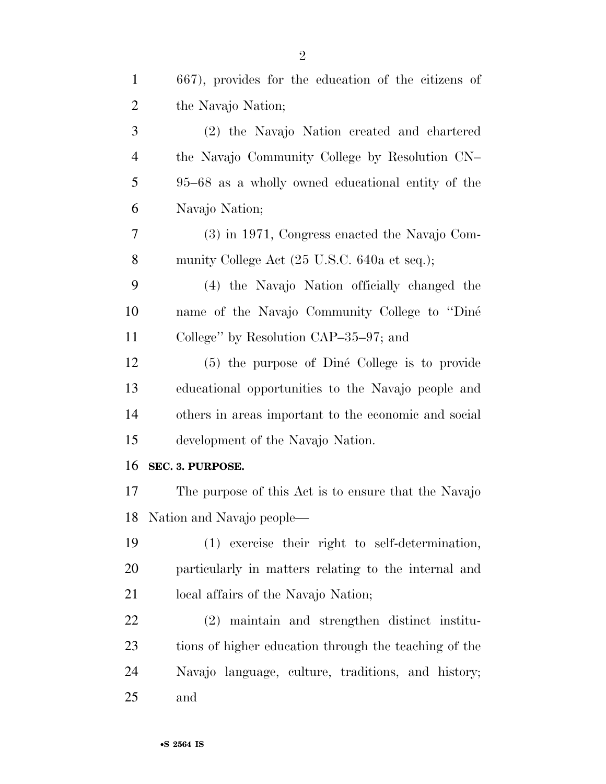| $\mathbf{1}$   | 667), provides for the education of the citizens of   |
|----------------|-------------------------------------------------------|
| $\overline{2}$ | the Navajo Nation;                                    |
| 3              | (2) the Navajo Nation created and chartered           |
| $\overline{4}$ | the Navajo Community College by Resolution CN-        |
| 5              | 95–68 as a wholly owned educational entity of the     |
| 6              | Navajo Nation;                                        |
| 7              | (3) in 1971, Congress enacted the Navajo Com-         |
| 8              | munity College Act (25 U.S.C. 640a et seq.);          |
| 9              | (4) the Navajo Nation officially changed the          |
| 10             | name of the Navajo Community College to "Diné         |
| 11             | College" by Resolution CAP $-35-97$ ; and             |
| 12             | (5) the purpose of Diné College is to provide         |
| 13             | educational opportunities to the Navajo people and    |
| 14             | others in areas important to the economic and social  |
| 15             | development of the Navajo Nation.                     |
| 16             | SEC. 3. PURPOSE.                                      |
| 17             | The purpose of this Act is to ensure that the Navajo  |
| 18             | Nation and Navajo people—                             |
| 19             | (1) exercise their right to self-determination,       |
| 20             | particularly in matters relating to the internal and  |
| 21             | local affairs of the Navajo Nation;                   |
| 22             | (2) maintain and strengthen distinct institu-         |
| 23             | tions of higher education through the teaching of the |
| 24             | Navajo language, culture, traditions, and history;    |
| 25             | and                                                   |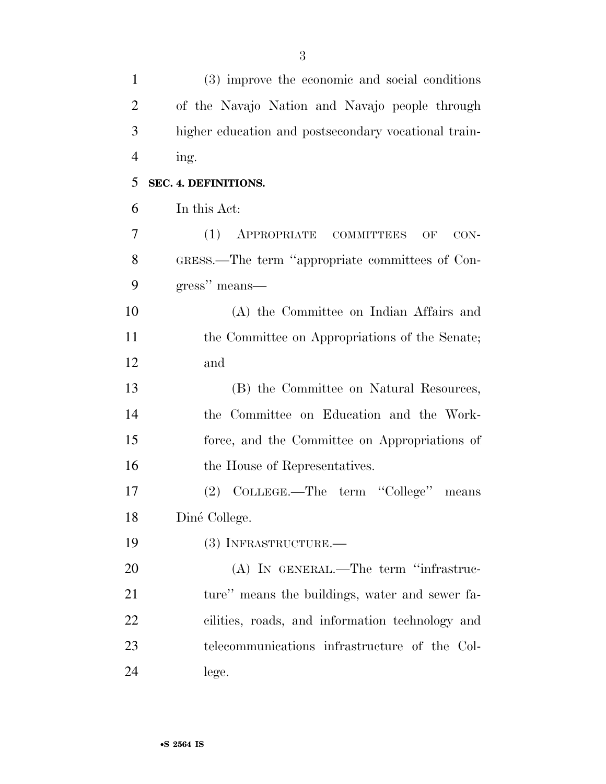| $\mathbf{1}$   | (3) improve the economic and social conditions       |
|----------------|------------------------------------------------------|
| $\overline{2}$ | of the Navajo Nation and Navajo people through       |
| 3              | higher education and postsecondary vocational train- |
| $\overline{4}$ | ing.                                                 |
| 5              | SEC. 4. DEFINITIONS.                                 |
| 6              | In this Act:                                         |
| 7              | (1)<br>APPROPRIATE COMMITTEES<br>CON-<br>OF          |
| 8              | GRESS.—The term "appropriate committees of Con-      |
| 9              | gress" means—                                        |
| 10             | (A) the Committee on Indian Affairs and              |
| 11             | the Committee on Appropriations of the Senate;       |
| 12             | and                                                  |
| 13             | (B) the Committee on Natural Resources,              |
| 14             | the Committee on Education and the Work-             |
| 15             | force, and the Committee on Appropriations of        |
| 16             | the House of Representatives.                        |
| 17             | (2) COLLEGE.—The term "College"<br>means             |
| 18             | Diné College.                                        |
| 19             | (3) INFRASTRUCTURE.—                                 |
| 20             | (A) IN GENERAL.—The term "infrastruc-                |
| 21             | ture" means the buildings, water and sewer fa-       |
| 22             | cilities, roads, and information technology and      |
| 23             | telecommunications infrastructure of the Col-        |
| 24             | lege.                                                |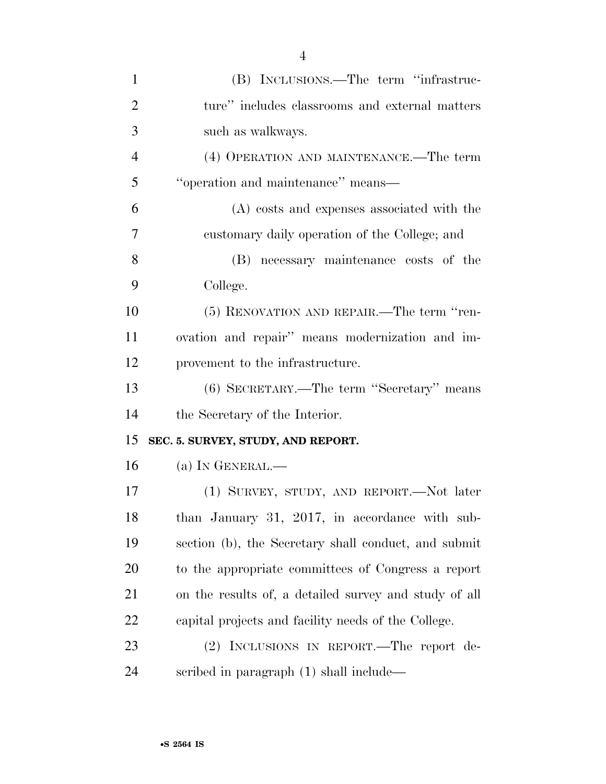| $\mathbf{1}$   | (B) INCLUSIONS.—The term "infrastruc-                 |
|----------------|-------------------------------------------------------|
| $\overline{2}$ | ture" includes classrooms and external matters        |
| 3              | such as walkways.                                     |
| $\overline{4}$ | (4) OPERATION AND MAINTENANCE.—The term               |
| 5              | "operation and maintenance" means-                    |
| 6              | (A) costs and expenses associated with the            |
| $\overline{7}$ | customary daily operation of the College; and         |
| 8              | (B) necessary maintenance costs of the                |
| 9              | College.                                              |
| 10             | (5) RENOVATION AND REPAIR.—The term "ren-             |
| 11             | ovation and repair" means modernization and im-       |
| 12             | provement to the infrastructure.                      |
| 13             | (6) SECRETARY.—The term "Secretary" means             |
| 14             | the Secretary of the Interior.                        |
| 15             | SEC. 5. SURVEY, STUDY, AND REPORT.                    |
| 16             | (a) IN GENERAL.—                                      |
| 17             | (1) SURVEY, STUDY, AND REPORT.—Not later              |
| 18             | than January 31, 2017, in accordance with sub-        |
| 19             | section (b), the Secretary shall conduct, and submit  |
| 20             | to the appropriate committees of Congress a report    |
| 21             | on the results of, a detailed survey and study of all |
| 22             | capital projects and facility needs of the College.   |
| 23             | (2) INCLUSIONS IN REPORT.—The report de-              |
| 24             | scribed in paragraph $(1)$ shall include—             |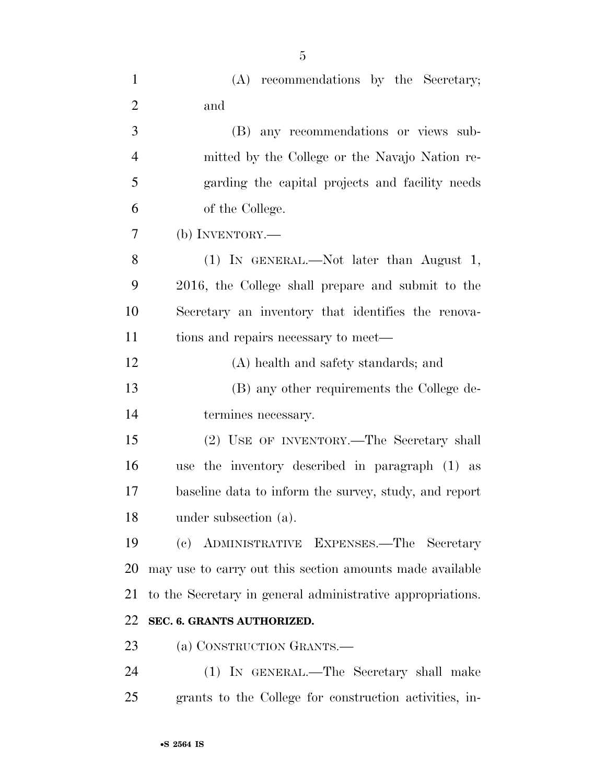| $\mathbf{1}$   | (A) recommendations by the Secretary;                      |
|----------------|------------------------------------------------------------|
| $\overline{2}$ | and                                                        |
| 3              | (B) any recommendations or views sub-                      |
| $\overline{4}$ | mitted by the College or the Navajo Nation re-             |
| 5              | garding the capital projects and facility needs            |
| 6              | of the College.                                            |
| 7              | (b) INVENTORY.—                                            |
| 8              | (1) IN GENERAL.—Not later than August 1,                   |
| 9              | 2016, the College shall prepare and submit to the          |
| 10             | Secretary an inventory that identifies the renova-         |
| 11             | tions and repairs necessary to meet—                       |
| 12             | (A) health and safety standards; and                       |
| 13             | (B) any other requirements the College de-                 |
| 14             | termines necessary.                                        |
| 15             | (2) USE OF INVENTORY.—The Secretary shall                  |
| 16             | use the inventory described in paragraph (1) as            |
| 17             | baseline data to inform the survey, study, and report      |
| 18             | under subsection (a).                                      |
| 19             | (c) ADMINISTRATIVE EXPENSES.—The Secretary                 |
| 20             | may use to carry out this section amounts made available   |
| 21             | to the Secretary in general administrative appropriations. |
| 22             | SEC. 6. GRANTS AUTHORIZED.                                 |
| 23             | (a) CONSTRUCTION GRANTS.-                                  |
| 24             | (1) IN GENERAL.—The Secretary shall make                   |
| 25             | grants to the College for construction activities, in-     |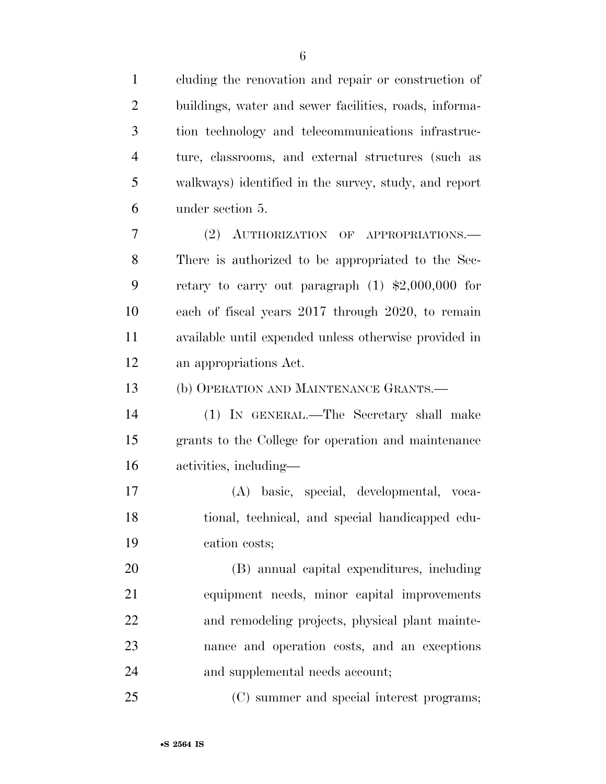| $\mathbf{1}$   | cluding the renovation and repair or construction of   |
|----------------|--------------------------------------------------------|
| $\overline{2}$ | buildings, water and sewer facilities, roads, informa- |
| 3              | tion technology and telecommunications infrastruc-     |
| $\overline{4}$ | ture, classrooms, and external structures (such as     |
| 5              | walkways) identified in the survey, study, and report  |
| 6              | under section 5.                                       |
| 7              | (2) AUTHORIZATION OF APPROPRIATIONS.—                  |
| 8              | There is authorized to be appropriated to the Sec-     |
| 9              | retary to carry out paragraph $(1)$ \$2,000,000 for    |
| 10             | each of fiscal years 2017 through 2020, to remain      |
| 11             | available until expended unless otherwise provided in  |
| 12             | an appropriations Act.                                 |
| 13             | (b) OPERATION AND MAINTENANCE GRANTS.—                 |
| 14             | (1) IN GENERAL.—The Secretary shall make               |
| 15             | grants to the College for operation and maintenance    |
| 16             | activities, including—                                 |
| 17             | (A) basic, special, developmental, voca-               |
| 18             | tional, technical, and special handicapped edu-        |
| 19             | cation costs;                                          |
| 20             | (B) annual capital expenditures, including             |
| 21             | equipment needs, minor capital improvements            |
| 22             | and remodeling projects, physical plant mainte-        |
| 23             | nance and operation costs, and an exceptions           |
| 24             | and supplemental needs account;                        |
| 25             | (C) summer and special interest programs;              |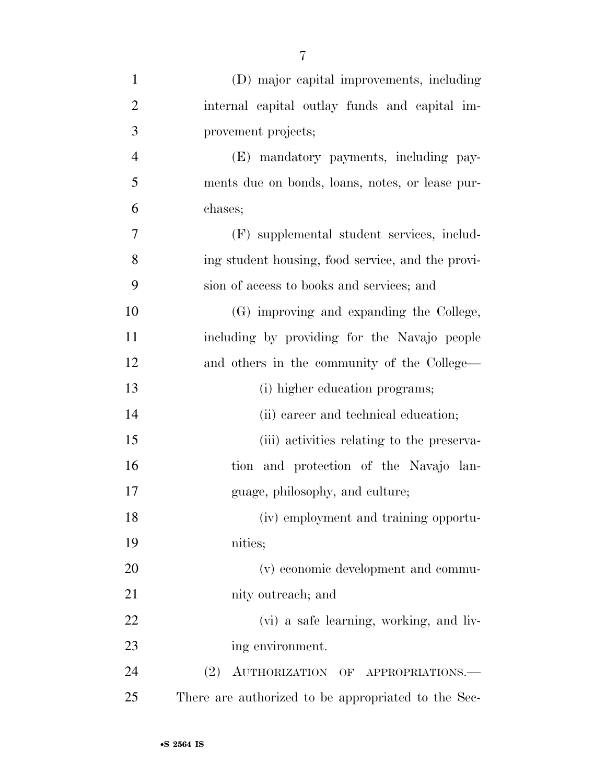| $\mathbf{1}$   | (D) major capital improvements, including           |
|----------------|-----------------------------------------------------|
| $\overline{2}$ | internal capital outlay funds and capital im-       |
| 3              | provement projects;                                 |
| $\overline{4}$ | (E) mandatory payments, including pay-              |
| 5              | ments due on bonds, loans, notes, or lease pur-     |
| 6              | chases;                                             |
| 7              | (F) supplemental student services, includ-          |
| 8              | ing student housing, food service, and the provi-   |
| 9              | sion of access to books and services; and           |
| 10             | (G) improving and expanding the College,            |
| 11             | including by providing for the Navajo people        |
| 12             | and others in the community of the College-         |
| 13             | (i) higher education programs;                      |
| 14             | (ii) career and technical education;                |
| 15             | (iii) activities relating to the preserva-          |
| 16             | tion and protection of the Navajo lan-              |
| 17             | guage, philosophy, and culture;                     |
| 18             | (iv) employment and training opportu-               |
| 19             | nities;                                             |
| 20             | (v) economic development and commu-                 |
| 21             | nity outreach; and                                  |
| 22             | (vi) a safe learning, working, and liv-             |
| 23             | ing environment.                                    |
| 24             | (2)<br>AUTHORIZATION OF APPROPRIATIONS.             |
| 25             | There are authorized to be appropriated to the Sec- |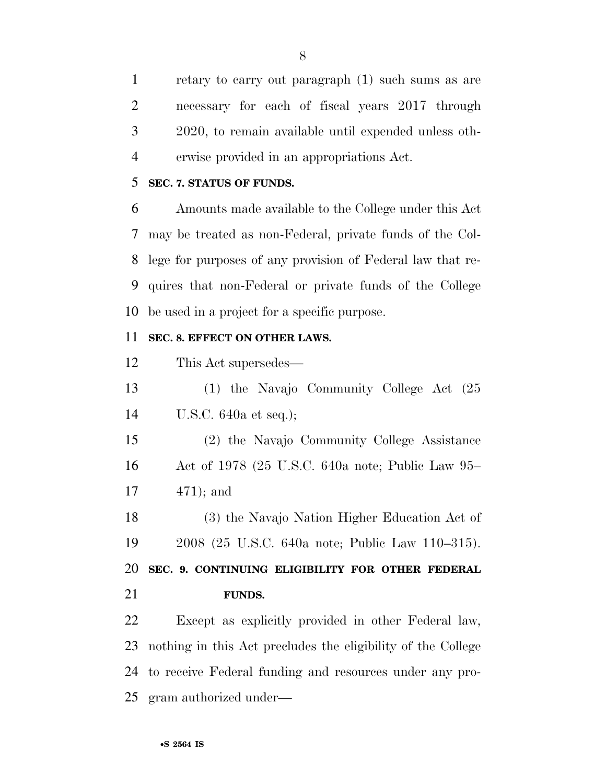retary to carry out paragraph (1) such sums as are necessary for each of fiscal years 2017 through 2020, to remain available until expended unless oth-erwise provided in an appropriations Act.

## **SEC. 7. STATUS OF FUNDS.**

 Amounts made available to the College under this Act may be treated as non-Federal, private funds of the Col- lege for purposes of any provision of Federal law that re- quires that non-Federal or private funds of the College be used in a project for a specific purpose.

## **SEC. 8. EFFECT ON OTHER LAWS.**

This Act supersedes—

 (1) the Navajo Community College Act (25 U.S.C. 640a et seq.);

 (2) the Navajo Community College Assistance Act of 1978 (25 U.S.C. 640a note; Public Law 95– 471); and

 (3) the Navajo Nation Higher Education Act of 2008 (25 U.S.C. 640a note; Public Law 110–315).

 **SEC. 9. CONTINUING ELIGIBILITY FOR OTHER FEDERAL FUNDS.** 

 Except as explicitly provided in other Federal law, nothing in this Act precludes the eligibility of the College to receive Federal funding and resources under any pro-gram authorized under—